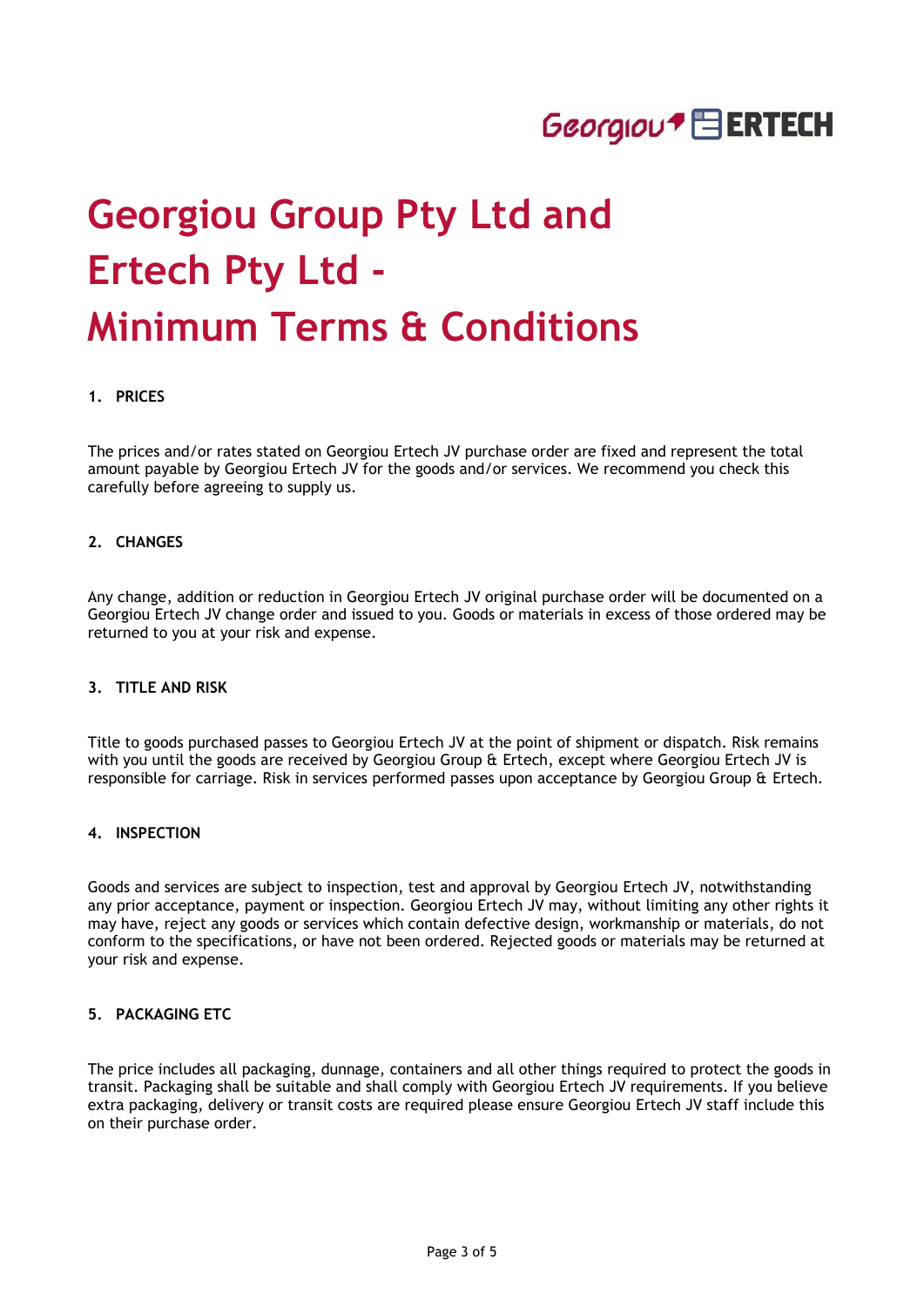

# **Georgiou Group Pty Ltd and Ertech Pty Ltd - Minimum Terms & Conditions**

## **1. PRICES**

The prices and/or rates stated on Georgiou Ertech JV purchase order are fixed and represent the total amount payable by Georgiou Ertech JV for the goods and/or services. We recommend you check this carefully before agreeing to supply us.

#### **2. CHANGES**

Any change, addition or reduction in Georgiou Ertech JV original purchase order will be documented on a Georgiou Ertech JV change order and issued to you. Goods or materials in excess of those ordered may be returned to you at your risk and expense.

## **3. TITLE AND RISK**

Title to goods purchased passes to Georgiou Ertech JV at the point of shipment or dispatch. Risk remains with you until the goods are received by Georgiou Group & Ertech, except where Georgiou Ertech JV is responsible for carriage. Risk in services performed passes upon acceptance by Georgiou Group & Ertech.

#### **4. INSPECTION**

Goods and services are subject to inspection, test and approval by Georgiou Ertech JV, notwithstanding any prior acceptance, payment or inspection. Georgiou Ertech JV may, without limiting any other rights it may have, reject any goods or services which contain defective design, workmanship or materials, do not conform to the specifications, or have not been ordered. Rejected goods or materials may be returned at your risk and expense.

## **5. PACKAGING ETC**

The price includes all packaging, dunnage, containers and all other things required to protect the goods in transit. Packaging shall be suitable and shall comply with Georgiou Ertech JV requirements. If you believe extra packaging, delivery or transit costs are required please ensure Georgiou Ertech JV staff include this on their purchase order.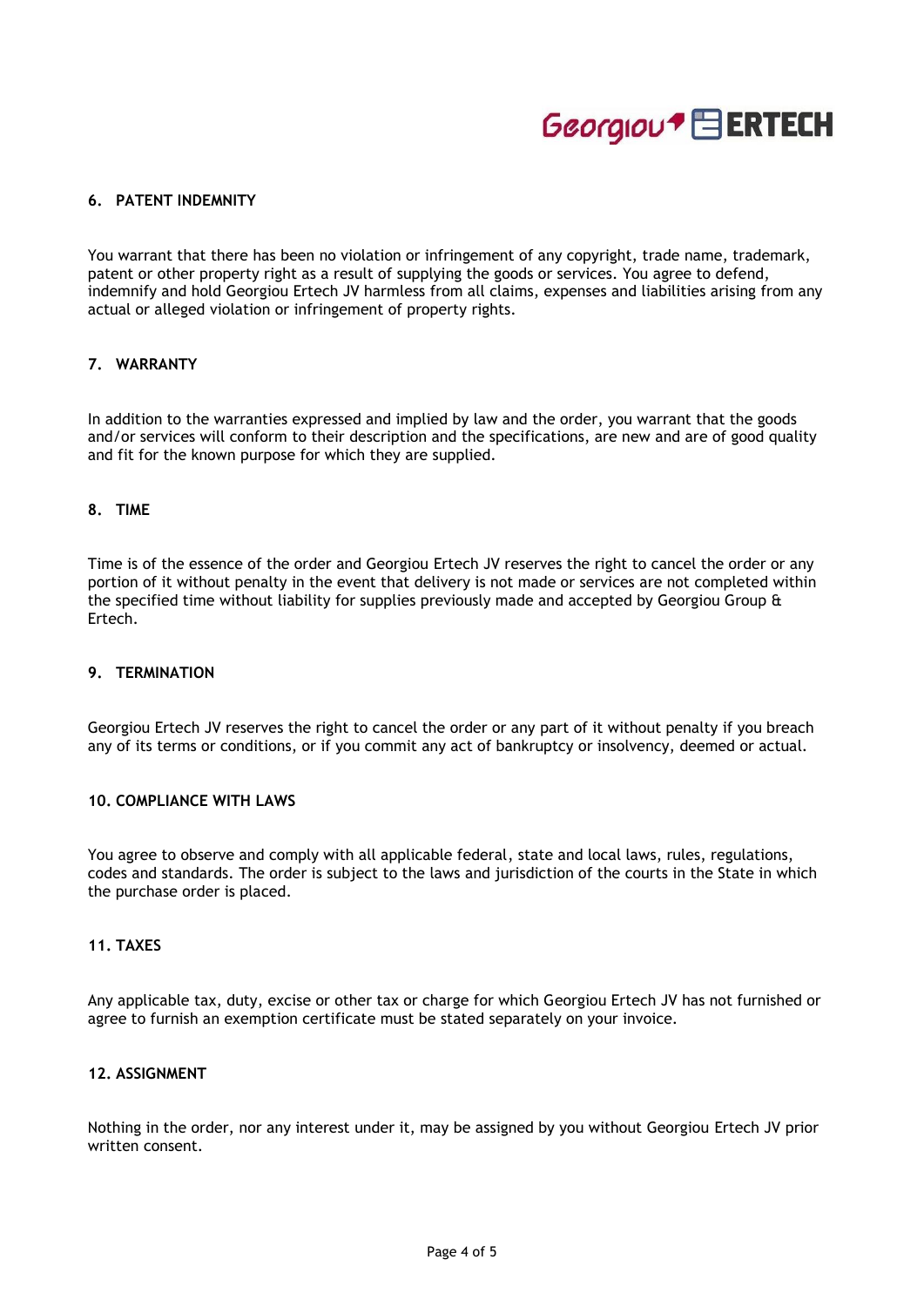

# **6. PATENT INDEMNITY**

You warrant that there has been no violation or infringement of any copyright, trade name, trademark, patent or other property right as a result of supplying the goods or services. You agree to defend, indemnify and hold Georgiou Ertech JV harmless from all claims, expenses and liabilities arising from any actual or alleged violation or infringement of property rights.

## **7. WARRANTY**

In addition to the warranties expressed and implied by law and the order, you warrant that the goods and/or services will conform to their description and the specifications, are new and are of good quality and fit for the known purpose for which they are supplied.

#### **8. TIME**

Time is of the essence of the order and Georgiou Ertech JV reserves the right to cancel the order or any portion of it without penalty in the event that delivery is not made or services are not completed within the specified time without liability for supplies previously made and accepted by Georgiou Group & Ertech.

## **9. TERMINATION**

Georgiou Ertech JV reserves the right to cancel the order or any part of it without penalty if you breach any of its terms or conditions, or if you commit any act of bankruptcy or insolvency, deemed or actual.

#### **10. COMPLIANCE WITH LAWS**

You agree to observe and comply with all applicable federal, state and local laws, rules, regulations, codes and standards. The order is subject to the laws and jurisdiction of the courts in the State in which the purchase order is placed.

## **11. TAXES**

Any applicable tax, duty, excise or other tax or charge for which Georgiou Ertech JV has not furnished or agree to furnish an exemption certificate must be stated separately on your invoice.

## **12. ASSIGNMENT**

Nothing in the order, nor any interest under it, may be assigned by you without Georgiou Ertech JV prior written consent.